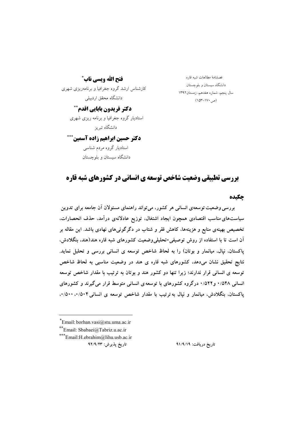فتح الله ويسي ناب ٌ

کارشناس ارشد گروه جغرافیا و برنامهریزی شهری دانشگاه محقق اردبیلی

دکتر فریدون بابایی اقدم\*\*

استادیار گروه جغرافیا و برنامه ریزی شهری دانشگاه تبریز

دکتر حسین ابراهیم زاده آسمین\*\*\* استادیار گروه مردم شناسی دانشگاه سیستان و بلوچستان

فصلنامهٔ مطالعات شبه قاره دانشگاه سیستان و بلوچستان سال پنجم، شماره هفدهم، زمستان۱۳۹۲  $(10^{8} - 11^{6} \cdot \sigma)$ 

# **یررسی تطبیقی وضعیت شاخص توسعه ی انسانی در کشورهای شبه قاره**

چکیده

بررسی وضعیت توسعهی انسانی هر کشور، می تواند راهنمای مسئولان آن جامعه برای تدوین سیاستهای مناسب اقتصادی همچون ایجاد اشتغال، توزیع عادلانهی درآمد، حذف انحصارات. تخصیص بهینهی منابع و هزینهها، کاهش فقر و شتاب در دگرگونیهای نهادی باشد. این مقاله بر آن است تا با استفاده از روش توصیفی-تحلیلی وضعیت کشورهای شبه قاره هند(هند، بنگلادش، پاکستان، نیال، میانمار و بوتان) را به لحاظ شاخص توسعه ی انسانی بررسی و تحلیل نماید. نتایج تحقیق نشان میدهد، کشورهای شبه قاره ی هند در وضعیت مناسبی به لحاظ شاخص توسعه ی انسانی قرار ندارند؛ زیرا تنها دو کشور هند و بوتان به ترتیب با مقدار شاخص توسعه انسانی ۰/۵۴۸ و ۵۲۲/۰ در گروه کشورهای با توسعه ی انسانی متوسط قرار می گیرند و کشورهای یاکستان، بنگلادش، میانمار و نیال به ترتیب با مقدار شاخص توسعه ی انسانی ۰/۵۰۴، ۰/۵۰۰،

 $*$ Email: borhan.vasi@stu.uma.ac.ir

\*\*Email: Sbabaei@Tabriz.u.ac.ir

\*\*\*Email:H.ebrahim@lihu.usb.ac.ir

تاريخ پذيرش: ٩٢/٩/٢٣

تاریخ دریافت: ۹۱/۹/۱۹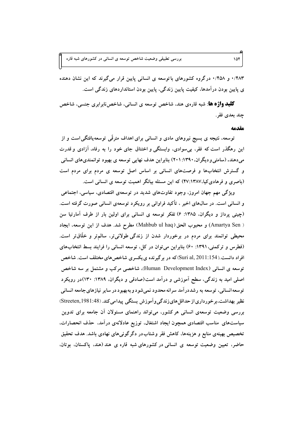۴۸۳/۰ و ۰/۴۵۸ درگروه کشورهای با توسعه ی انسانی پایین قرار می گیرند که این نشان دهنده ی پایین بودن درآمدها، کیفیت پایین زندگی، پایین بودن استانداردهای زندگی است.

**کلید واژه ها**: شبه قارهی هند، شاخص توسعه ی انسانی، شاخص نابرابری جنسی، شاخص چند بعدی فقر .

مقدمه

توسعه، نتیجه ی بسیج نیروهای مادی و انسانی برای اهداف مترقّی توسعهیافتگی است و از این رهگذر است که فقر، بی سوادی، وابستگی و اختناق جای خود را به رفاه، آزادی و قدرت می دهند. (سامتی و دیگران، ۱۳۹۰: ۲۰۱) بنابراین هدف نهایی توسعه ی بهبود توانمندیهای انسانی و گسترش انتخابها و فرصتهای انسانی بر اساس اصل توسعه ی مردم برای مردم است (باصری و فرهادی کیا،۴۷:۱۳۸۷) که این مسئله بیانگر اهمیت توسعه ی انسانی است.

ویژگی مهم جهان امروز، وجود تفاوتهای شدید در توسعهی اقتصادی، سیاسی، اجتماعی و انسانی است. در سال۵ای اخیر ، تأکید فراوانی بر رویکرد توسعهی انسانی صورت گرفته است. (چینی پرداز و دیگران، ۱۳۸۵: ۶) تفکر توسعه ی انسانی برای اولین بار از طرف آمارتیا سن ( Amartya Sen) و محبوب الحق(Mahbub ul haq) مطرح شد. هدف از این توسعه، ایجاد محیطی توانمند برای مردم در برخوردار شدن از زندگی طولانی¤ر، سالم¤ر و خلّاق¤ر است. (فطرس و ترکمنی، ۱۳۹۱: ۶۰) بنابراین می توان در کل، توسعه انسانی را فرایند بسط انتخابهای افراد دانست.(Suri al, 2011:154) که در برگیرنده ی یکسری شاخص های مختلف است. شاخص توسعه ی انسانی (Human Development Index)، شاخصی مرکب و مشتمل بر سه شاخص اصلی امید به زندگی، سطح آموزشی و درآمد است(صادقی و دیگران، ۱۳۸۹: ۱۳۰)در رویکرد توسعه انسانی، توسعه به رشددرآمد سرانه محدود نمیشود و بهبهبود در سایر نیازهای جامعه انسانی نظیر بهداشت،برخورداری از حداقل های زندگی و آموزش بستگی پیدامی کند. (Streeten,1981:48) بررسی وضعیت توسعهی انسانی هرکشور، میïواند راهنمای مسئولان أن جامعه برای تدوین سیاستهای مناسب اقتصادی همچون ایجاد اشتغال، توزیع عادلانهی درآمد. حذف انحصارات. تخصیص بهینهی منابع و هزینهها، کاهش فقر وشتابدر دگرگونیهای نهادی باشد. هدف تحقیق حاضر، تعیین وضعیت توسعه ی انسانی در کشورهای شبه قاره ی هند (هند، پاکستان، بوتان،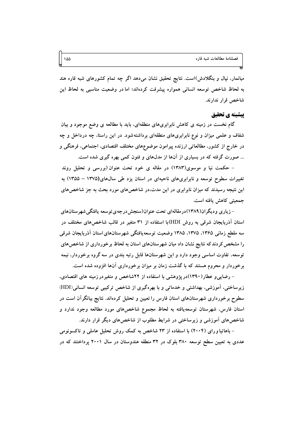میانمار، نیال و بنگلادش)است. نتایج تحقیق نشان میدهد اگر چه تمام کشورهای شبه قاره هند به لحاظ شاخص توسعه انسانی همواره پیشرفت کردهاند؛ اما در وضعیت مناسبی به لحاظ این شاخص قرار ندارند.

### يبشينه ي تحقيق

گام نخست در زمینه ی کاهش نابرابریهای منطقهای، باید با مطالعه ی وضع موجود و بیان شفاف و علمی میزان و نوع نابرابریهای منطقهای برداشتهشود. در این راستا، چه درداخل و چه در خارج از کشور، مطالعاتی ارزنده پیرامون موضوعهای مختلف اقتصادی، اجتماعی، فرهنگی و ... صورت گرفته که در بسیاری از آنها از مدلهای و فنون کمی بهره گیری شده است.

– حکمت نیا و موسوی(۱۳۸۳) در مقاله ی خود تحت عنوان(بررسی و تحلیل روند تغییرات سطوح توسعه و نابرابریهای ناحیهای در استان یزد طی سال&ای(۱۳۷۵ – ۱۳۵۵) به این نتیجه رسیدند که میزان نابرابری در این مدت،در شاخصهای مورد بحث به جز شاخصهای جمعیتی کاهش یافته است.

– زیاری و دیگران(۱۳۸۹)در مقالهای تحت عنوان(سنجش در جه ی توسعه یافتگی شهر ستانهای استان آذربایجان شرقبی به روش HDI)با استفاده از ۳۱ متغیر در قالب شاخصهای مختلف در سه مقطع زمانی ۱۳۶۵، ۱۳۷۵، ۱۳۸۵ وضعیت توسعه یافتگی شهرستانهای استان آذربایجان شرقی را مشخص کردندکه نتایج نشان داد میان شهرستانهای استان به لحاظ برخورداری از شاخصهای توسعه، تفاوت اساسی وجود دارد و این شهرستانها قابل رتبه بندی در سه گروه برخوردار، نیمه برخوردار و محروم هستند که با گذشت زمان بر میزان برخورداری آنها افزوده شده است.

– رضایی و عطار(۱۳۹۰)در پژوهشی با استفاده از ۲۲شاخص و متغیردر زمینه های اقتصادی، زیرساختی، آموزشی، بهداشتی و خدماتی و با بهرهگیری از شاخص ترکیبی توسعه انسانی(HDI) سطوح برخورداری شهرستانهای استان فارس را تعیین و تحلیل کردهاند. نتایج بیانگرآن است در استان فارس، شهرستان توسعهیافته به لحاظ مجموع شاخصهای مورد مطالعه وجود ندارد و شاخصهای آموزشی و زیرساختی در شرایط مطلوب از شاخصهای دیگر قرار دارند.

– باهاتیا و رای (۲۰۰۴) با استفاده از ۲۳ شاخص به کمک روش تحلیل عاملی و تاکسونومی عددی به تعیین سطح توسعه ۳۸۰ بلوک در ۳۲ منطقه هندوستان در سال ۲۰۰۱ پرداختند که در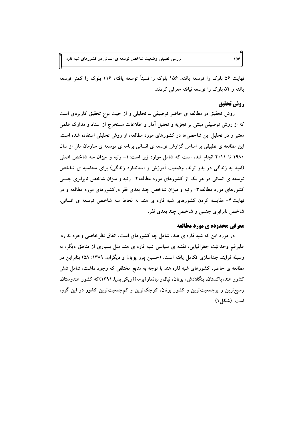بررسی تطبیقی وضعیت شاخص توسعه ی انسانی در کشورهای شبه قاره

نهایت ۵۶ بلوک را توسعه یافته، ۱۵۶ بلوک را نسبتاً توسعه یافته، ۱۱۶ بلوک را کمتر توسعه یافته و ۵۲ بلوک را توسعه نیافته معرفی کردند.

## روش تحقيق

روش تحقیق در مطالعه ی حاضر توصیفی ــ تحلیلی و از حیث نوع تحقیق کاربردی است که از روش توصیفی مبتنی بر تجزیه و تحلیل آمار و اطلاعات مستخرج از اسناد و مدارک علمی معتبر و در تحلیل این شاخصها در کشورهای مورد مطالعه، از روش تحلیلی استفاده شده است. این مطالعه ی تطبیقی بر اساس گزارش توسعه ی انسانی برنامه ی توسعه ی سازمان ملل از سال ۱۹۸۰ تا ۲۰۱۱ انجام شده است که شامل موارد زیر است: ۱- رتبه و میزان سه شاخص اصلی (امید به زندگی در بدو تولد، وضعیت آموزش و استاندارد زندگی) برای محاسبه ی شاخص توسعه ی انسانی در هر یک از کشورهای مورد مطالعه۲– رتبه و میزان شاخص نابرابری جنسی کشورهای مورد مطالعه۳- رتبه و میزان شاخص چند بعدی فقر درکشورهای مورد مطالعه و در نهایت ۴– مقایسه کردن کشورهای شبه قاره ی هند به لحاظ سه شاخص توسعه ی انسانی، شاخص نابرابري جنسي و شاخص چند بعدي فقر.

#### معرفي محدوده ي مورد مطالعه

در مورد این که شبه قاره ی هند، شامل چه کشورهای است، اتفاق نظرخاصی وجود ندارد. علیرغم وحدانیّت جغرافیایی، نقشه ی سیاسی شبه قاره ی هند مثل بسیاری از مناطق دیگر، به وسیله فرایند جداسازی تکامل یافته است. (حسین پور پویان و دیگران، ۱۳۸۹: ۵۸) بنابراین در مطالعه ی حاضر، کشورهای شبه قاره هند با توجه به منابع مختلفی که وجود داشت، شامل شش کشور هند، پاکستان، بنگلادش، بوتان، نپال0و میانمار(برمه)(ویکی پدیا، ۱۳۹۱)که کشور هندوستان. وسیع ترین و پرجمعیت ترین و کشور بوتان، کوچک ترین و کمجمعیت ترین کشور در این گروه است. (شکل ۱)

 $109$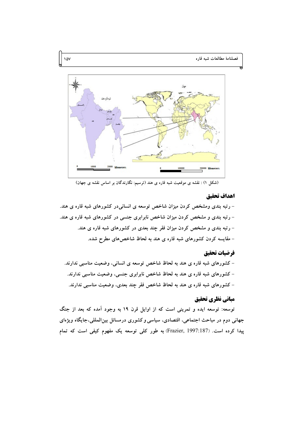

(شکل ۱) : نقشه ی موقعیت شبه قاره ی هند (ترسیم: نگارندگان بر اساس نقشه ی جهان)

#### اهداف تحقيق

– رتبه بندی ومشخص کردن میزان شاخص توسعه ی انسانی در کشورهای شبه قاره ی هند. – رتبه بندی و مشخص کردن میزان شاخص نابرابری جنسی در کشورهای شبه قاره ی هند. – رتبه بندی و مشخص کردن میزان فقر چند بعدی در کشورهای شبه قاره ی هند. - مقایسه کردن کشورهای شبه قاره ی هند به لحاظ شاخصهای مطرح شده.

### فرضيات تحقيق

– کشورهای شبه قاره ی هند به لحاظ شاخص توسعه ی انسانی، وضعیت مناسبی ندارند. – کشورهای شبه قاره ی هند به لحاظ شاخص نابرابری جنسی، وضعیت مناسبی ندارند. – کشورهای شبه قاره ی هند به لحاظ شاخص فقر چند بعدی، وضعیت مناسبی ندارند.

# مباني نظري تحقيق

توسعه: توسعه ایده و تمرینی است که از اوایل قرن ۱۹ به وجود آمده که بعد از جنگ جهانی دوم در مباحث اجتماعی، اقتصادی، سیاسی و کشوری درمسائل بینالمللی،جایگاه ویژهای پیدا کرده است. (Frazier, 1997:187) به طور کلی توسعه یک مفهوم کیفی است که تمام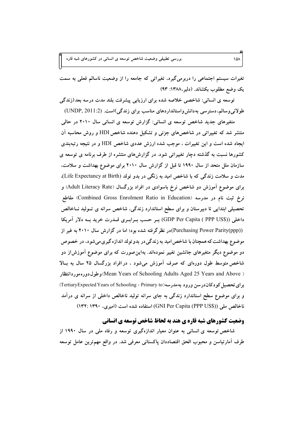بررسی تطبیقی وضعیت شاخص توسعه ی انسانی در کشورهای شبه قاره

۔<br>تغیرات سیستم اجتماعی را دربرمیگیرد، تغیراتی که جامعه را از وضعیت ناسالم فعلی به سمت یک وضع مطلوب بکشاند. (دلیر،۱۳۸۸: ۹۳)

توسعه ی انسانی: شاخصی خلاصه شده برای ارزیابی پیشرفت بلند مدت درسه بعد(زندگی طولانی وسالم، دسترسی به دانش واستانداردهای مناسب برای زندگی)است. (UNDP, 2011:2)

متغیرهای جدید شاخص توسعه ی انسانی: گزارش توسعه ی انسانی سال ۲۰۱۰ در حالی منتشر شد که تغییراتی در شاخصهای جزئی و تشکیل دهنده شاخص HDI و روش محاسبه آن ایجاد شده است و این تغییرات ، موجب شده ارزش عددی شاخص HDI و در نتیجه رتبهبندی کشورها نسبت به گذشته دچار تغییراتی شود. در گزارشهای منتشره از طرف برنامه ی توسعه ی سازمان ملل متحد از سال ۱۹۹۰ تا قبل از گزارش سال ۲۰۱۰ برای موضوع بهداشت و سلامت، مدت و سلامت زندگی که با شاخص امید به زنگی در بدو تولد (Life Expectancy at Birth). برای موضوع آموزش دو شاخص نرخ باسوادی در افراد بزرگسال (Adult Literacy Rate) و نرخ ثبت نام در مدرسه (Combined Gross Enrolment Ratio in Education) مقاطع تحصیلی ابتدایی تا دبیرستان و برای سطح استاندارد زندگی، شاخص سرانه ی تـولید نـاخالص داخلی (GDP Per Capita ( PPP US\$)) بـر حسب بـرابـری قــدرت خرید بــه دلار آمریکا (Purchasing Power Parity(ppp))در نظر گرفته شده بود؛ اما در گزارش سال ۲۰۱۰ به غیر از موضوع بهداشت که همچنان با شاخص امید به زندگی در بدو تولد اندازه گیری می شود، در خصوص دو موضوع دیگر متغیرهای جانشین تغییر نمودهاند. بهاین صورت که برای موضوع آموزشlز دو شاخص متوسط طول دورهای که صرف آموزش میشود ، در افراد بزرگسال ۲۵ سال به بالا ( Mean Years of Schooling Adults Aged 25 Years and Above) وطول دوره موردانتظار برای تحصیل کو دکان در سن ورود به مدر سه (TertiaryExpected Years of Schooling - Primary to) و برای موضوع سطح استاندارد زندگی به جای سرانه تولید ناخالص داخلی از سرانه ی درآمد ناخالص ملی (GNI Per Capita (PPP US\$)) استفاده شده است (امیری، ۱۳۹۰: ۱۳۲)

## وضعیت کشورهای شبه قاره ی هند به لحاظ شاخص توسعه ی انسانی

شاخص توسعه ی انسانی به عنوان معیار اندازهگیری توسعه و رفاه ملی در سال ۱۹۹۰ از طرف آمارتیاسن و محبوب الحق اقتصاددان پاکستانی معرفی شد. در واقع مهمترین عامل توسعه

 $\sqrt{\Delta}$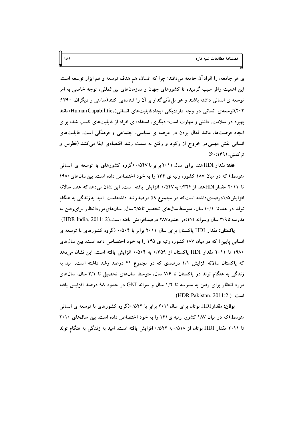ی هر جامعه، را افرادآن جامعه میدانند؛ چرا که انسان، هم هدف توسعه و هم ابزار توسعه است. این اهمیت وافر سبب گردیده تا کشورهای جهان و سازمانهای بینالمللی، توجه خاصی به امر توسعه ی انسانی داشته باشند و عوامل تأثیرگذار بر آن را شناسایی کنند(سامتی و دیگران، ۱۳۹۰: ۲۰۲)توسعه ی انسانی دو وجه دارد:یکی ایجاد قابلیتهای انسانی(Human Capabilities)مانند بهبود در سلامت، دانش و مهارت است؛ دیگری، استفاده ی افراد از قابلیتهای کسب شده برای ایجاد فرصتها، مانند فعال بودن در عرصه ی سیاسی، اجتماعی و فرهنگی است. قابلیتهای انسانی نقش مهمی در خروج از رکود و رفتن به سمت رشد اقتصادی ایفا میکنند.(فطرس و ترکمنې، ۱۳۹۱: ۶۰)

هند: مقدار HDI هند برای سال ۲۰۱۱ برابر با ۰/۵۴۷ (گروه کشورهای با توسعه ی انسانی متوسط) که در میان ۱۸۷ کشور، رتبه ی ۱۳۴ را به خود اختصاص داده است. بین سال های ۱۹۸۰ تا ۲۰۱۱ مقدار HDIهند از ۰/۵۴۲ به ۰/۵۴۷ افزایش یافته است. این نشان میدهد که هند، سالانه افزایش۵/۱درصدیداشته استکه در مجموع ۵۹ درصدرشد داشتهاست. امید به زندگی به هنگام تولد در هند تا ۱۰/۱سال، متوسط سالهای تحصیل تا ۲/۵سال، سالهای موردانتظار برای رفتن به مدرسه تا٣/٩ سال وسرانه GNIدر حدود٢٨٧ درصدافزايش يافته است.(HDR India, 2011: 2)

**پاکستان:** مقدار HDI یاکستان برای سال ۲۰۱۱ برابر با ۰/۵۰۴ (گروه کشورهای با توسعه ی انسانی پایین) که در میان ۱۸۷ کشور، رتبه ی ۱۴۵ را به خود اختصاص داده است. بین سالهای ۱۹۸۰ تا ۲۰۱۱ مقدار HDI پاکستان از ۰/۳۵۹ به ۰/۵۰۴ افزایش یافته است. این نشان میدهد که پاکستان سالانه افزایش ۱/۱ درصدی که در مجموع ۴۱ درصد رشد داشته است. امید به زندگی به هنگام تولد در پاکستان تا ۷/۶ سال، متوسط سالهای تحصیل تا ۳/۱ سال، سالهای مورد انتظار برای رفتن به مدرسه تا ۱/۲ سال و سرانه GNI در حدود ۹۸ درصد افزایش یافته (HDR Pakistan, 2011:2)

**بوقان:** مقدار HDI بوتان برای سال ۲۰۱۱ برابر با ۰/۵۲۲(گروه کشورهای با توسعه ی انسانی متوسط)که در میان ۱۸۷ کشور، رتبه ی ۱۴۱ را به خود اختصاص داده است. بین سال های ۲۰۱۰ تا ۲۰۱۱ مقدار HDI بوتان از ۵۱۸/۰به ۰/۵۲۲ افزایش یافته است. امید به زندگی به هنگام تولد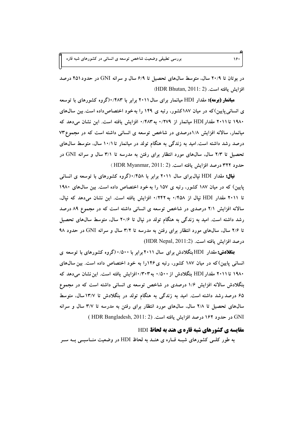بررسی تطبیقی وضعیت شاخص توسعه ی انسانی در کشورهای شبه قاره

در بوتان تا ۲۰/۹ سال، متوسط سال@ای تحصیل تا ۶/۹ سال و سرانه GNI در حدود ۴۵۱ درصد افزايش يافته است. (HDR Bhutan, 2011: 2)

هیافعار (بوهه): مقدار HDI میانمار برای سال ۲۰۱۱ برابر با ۰/۴۸۳(گروه کشورهای با توسعه ی انسانی پایین)که در میان ۱۸۷کشور، رتبه ی ۱۴۹ را به خود اختصاص داده است. بین سالهای ۱۹۸۰ تا ۲۰۱۱ مقدار HDI میانمار از ۰/۲۷۹ به ۰/۴۸۳ افزایش یافته است. این نشان میدهد که میانمار، سالانه افزایش ۱/۸درصدی در شاخص توسعه ی انسانی داشته است که در مجموع ۷۳ درصد رشد داشته است.امید به زندگی به هنگام تولد در میانمار تا ۱۰/۱ سال، متوسط سالهای تحصیل تا ۲/۳ سال، سالههای مورد انتظار برای رفتن به مدرسه تا ۳/۱ سال و سرانه GNI در حدود ۳۲۲ درصد افزایش یافته است. (HDR Myanmar, 2011: 2)

ف**یال:** مقدار HDI نیال برای سال ۲۰۱۱ برابر با ۰/۴۵۸(گروه کشورهای با توسعه ی انسانی پایین) که در میان ۱۸۷ کشور، رتبه ی ۱۵۷ را به خود اختصاص داده است. بین سال های ۱۹۸۰ تا ۲۰۱۱ مقدار HDI نیال از ۰/۴۵۸ به ۰/۲۴۲ افزایش یافته است. این نشان میدهد که نیال، سالانه افزایش ۲/۱ درصدی در شاخص توسعه ی انسانی داشته است که در مجموع ۸۹ درصد رشد داشته است. امید به زندگی به هنگام تولد در نیال تا ۲۰/۶ سال، متوسط سالهای تحصیل تا ۲/۶ سال، سالهای مورد انتظار برای رفتن به مدرسه تا ۳/۲ سال و سرانه GNI در حدود ۹۸ درصد افزايش يافته است. (HDR Nepal, 2011:2)

**بنگلادش:**مقدار HDIبنگلادش برای سال ۲۰۱۱ برابر با ۰/۵۰۰ (گروه کشورهای با توسعه ی انسانی پایین)که در میان ۱۸۷ کشور، رتبه ی۱۴۶را به خود اختصاص داده است. بین سالهای ۱۹۸۰ تا ۲۰۱۱ مقدار HDI بنگلادش از ۰/۵۰۰ به ۰/۳۰۳افزایش یافته است. این نشان میدهد که بنگلادش سالانه افزایش ۱/۶ درصدی در شاخص توسعه ی انسانی داشته است که در مجموع ۶۵ درصد رشد داشته است. امید به زندگی به هنگام تولد در بنگلادش تا ۱۳/۷سال، متوسط سالهای تحصیل تا ۲/۸ سال، سالهای مورد انتظار برای رفتن به مدرسه تا ۳/۷ سال و سرانه GNI در حدود ۱۶۲ درصد افزایش یافته است. (HDR Bangladesh, 2011: 2)

### مقایسه ی کشورهای شبه قاره ی هند به لحاظ HDI

به طور کلــی کشورهای شبــه قــاره ی هنــد به لحاظ HDI در وضعیت منــاسبــی بــه ســر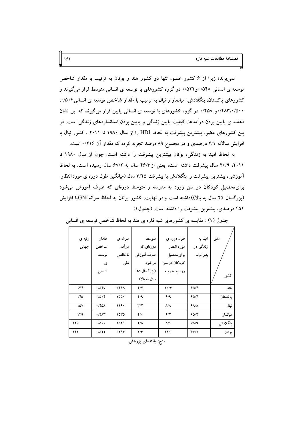نمی برند؛ زیرا از ۶ کشور عضو، تنها دو کشور هند و بوتان به ترتیب با مقدار شاخص توسعه ی انسانی ۵۴۸/۰و۵۲۲/۰در گروه کشورهای با توسعه ی انسانی متوسط قرار میگیرند و کشورهای پاکستان، بنگلادش، میانمار و نیال به ترتیب با مقدار شاخص توسعه ی انسانی۲۵۰۴. ۰/۴۸۳،۰/۵۰۰ (۴۵۸/۰ در گروه کشورهای با توسعه ی انسانی پایین قرار میگیرند که این نشان دهنده ی پایین بودن درآمدها، کیفیت پایین زندگی و پایین بودن استانداردهای زندگی است. در بین کشورهای عضو، بیشترین پیشرفت به لحاظ HDI را از سال ۱۹۸۰ تا ۲۰۱۱ ، کشور نپال با افزایش سالانه ۲/۱ درصدی و در مجموع ۸۹ درصد تجربه کرده که مقدار آن ۰/۲۱۶ است.

به لحاظ امید به زندگی، بوتان بیشترین پیشرفت را داشته است. چون از سال ۱۹۸۰ تا ۲۰۱۱، ۲۰/۹ سال پیشرفت داشته است؛ یعنی از ۴۶/۳ سال به ۶۷/۲ سال رسیده است. به لحاظ آموزشی، بیشترین پیشرفت را بنگلادش با پیشرفت ۳/۲۵ سال (میانگین طول دوره ی موردانتظار برای تحصیل کودکان در سن ورود به مدرسه و متوسط دورهای که صرف آموزش میشود (بزرگسال ۲۵ سال به بالا))داشته است و در نهایت، کشور بوتان به لحاظ سرانه GNIبا افزایش ۴۵۱ درصدی، بیشترین پیشرفت را داشته است. (جدول ۱)

| رتبه ی | مقدار                      | سرانه ی | متوسط                   | طول دوره ی                      | امید به                   | متغير   |
|--------|----------------------------|---------|-------------------------|---------------------------------|---------------------------|---------|
| جهانى  | شاخص                       | درآمد   | دورهای که               | مورد انتظار                     | زندگی در                  |         |
|        | توسعه                      | ناخالص  | صرف أموزش               | براي تحصيل                      | بدو تولد                  |         |
|        | ی                          | ملى     | مىشود                   | کودکان در سن                    |                           |         |
|        | انسانى                     |         | (بزرگسال ۲۵             | ورد به مدرسه                    |                           |         |
|        |                            |         | سال به بالا)            |                                 |                           | كشور    |
| ۱۳۴    | $\cdot$ /04V               | 3497    | 4/4                     | $\mathcal{N} \cdot \mathcal{N}$ | 60/8                      | هند     |
| ۱۴۵    | $\cdot$ /0 $\cdot$ $\cdot$ | 700.    | 4/4                     | 6/9                             | 60/8                      | ياكستان |
| ۱۵۷    | $\cdot$ /۴۵۸               | ۱۱۶۰    | $\mathbf{r}/\mathbf{r}$ | $\Lambda/\Lambda$               | $P$ $\Lambda$ / $\Lambda$ | نيال    |
| ۱۴۹    | $\cdot$ /۴۸۳               | ۱۵۳۵    | $\mathbf{Y}/\mathbf{A}$ | 9/7                             | 60/7                      | ميانمار |
| ۱۴۶    | $\cdot$ /0 $\cdot$ $\cdot$ | 1079    | $Y/\Lambda$             | $\Lambda/\Lambda$               | $f\Lambda/9$              | بنگلادش |
| ۱۴۱    | .7017                      | 5293    | $\mathbf{Y}/\mathbf{Y}$ | $\frac{1}{2}$                   | 5Y/Y                      | بو تان  |

جدول (۱) : مقایسه ی کشورهای شبه قاره ی هند به لحاظ شاخص توسعه ی انسانی

منبع: يافتەهاى پژوهش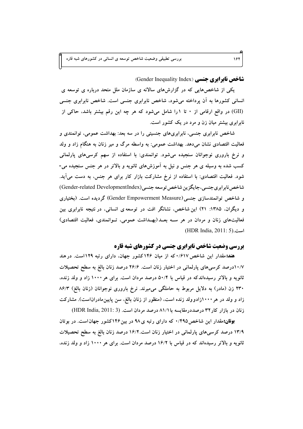شاخص ناد اد ی حنسی (Gender Inequality Index)

یکی از شاخص هایی که در گزارش های سالانه ی سازمان ملل متحد درباره ی توسعه ی انسانی کشورها به آن پرداخته می شود، شاخص نابرابری جنسی است. شاخص نابرابری جنسی (GII) در واقع ارقامی از ۰ تا ۱را شامل میشود که هر چه این رقم بیشتر باشد، حاکی از نابرابری بیشتر میان زن و مرد در یک کشور است.

شاخص نابرابری جنسی، نابرابریهای جنسیتی را در سه بعد: بهداشت عمومی، توانمندی و فعالیت اقتصادی نشان میدهد. بهداشت عمومی: به واسطه مرگ و میر زنان به هنگام زاد و ولد و نرخ باروری نوجوانان سنجیده میشود. توانمندی: با استفاده از سهم کرسی های پارلمانی کسب شده به وسیله ی هر جنس و نیل به آموزشهای ثانویه و بالاتر در هر جنس سنجیده می-شود. فعالیت اقتصادی: با استفاده از نرخ مشارکت بازار کار برای هر جنس، به دست می آید. شاخص نابرابري جنسي، جايگزين شاخص توسعه جنسي (Gender-related DevelopmentIndex) و شاخص توانمندسازی جنسی (Gender Empowerment Measure) گردیده است. (بختیاری و دیگران، ۱۳۸۵: ۲۱) این شاخص، نشانگر افت در توسعه ی انسانی، در نتیجه نابرابری بین فعالیتهای زنان و مردان در هر سـه بعـد(بهـداشت عمومی، تـوانمندی، فعالیت اقتصادی) (HDR India, 2011: 5).

**بررسی وضعیت شاخص نابرابری جنسی در کشورهای شبه قاره** 

هند: مقدار این شاخص ۰/۶۱۷ که از میان ۱۴۶کشور جهان، دارای رتبه ۱۲۹است. در هند ۱۰/۷درصد کرسیهای پارلمانی در اختیار زنان است. ۲۶/۶ درصد زنان بالغ به سطح تحصیلات ثانویه و بالاتر رسیدهاندکه در قیاس با ۵۰/۴ درصد مردان است. برای هر ۱۰۰۰ زاد و ولد زنده، ۲۳۰ زن (مادر) به دلایل مربوط به حاملگی میمیرند. نرخ باروری نوجوانان (زنان بالغ) ۸۶/۳ زاد و ولد در هر ۱۰۰۰زادوولد زنده است، (منظور از زنان بالغ، سن پایین،ادراناست). مشارکت زنان در بازار کار ۳۲ درصددرمقایسه با ۸۱/۱ درصد مردان است. (HDR India, 2011: 3)

**بوقان:**مقدار این شاخص ۴۹۵/۰ که دارای رتبه ی ۹۸ در بین ۱۴۶کشور جهان است. در بوتان ۱۳/۹ درصد کرسی های پارلمانی در اختیار زنان است.۱۶/۲ درصد زنان بالغ به سطح تحصیلات ثانویه و بالاتر رسیدهاند که در قیاس با ۱۶/۲ درصد مردان است. برای هر ۱۰۰۰ زاد و ولد زنده،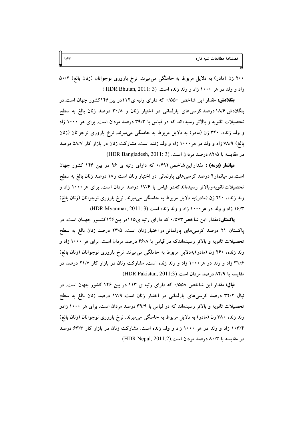۲۰۰ زن (مادر) به دلایل مربوط به حاملگی میمیرند. نرخ باروری نوجوانان (زنان بالغ) ۵۰/۲ زاد و ولد در هر ۱۰۰۰ زاد و ولد زنده است. (HDR Bhutan, 2011: 3)

بنگلادش: مقدار این شاخص ۵۵۰/۰ که دارای رتبه ی۱۱۲در بین ۱۴۶کشور جهان است.در بنگلادش ۱۸/۶ درصد کرسیهای پارلمانی در اختیار زنان و ۳۰/۸ درصد زنان بالغ به سطح تحصیلات ثانویه و بالاتر رسیدهاند که در قیاس با ۳۹/۳ درصد مردان است. برای هر ۱۰۰۰ زاد و ولد زنده، ۳۴۰ زن (مادر) به دلایل مربوط به حاملگی میمیرند. نرخ باروری نوجوانان (زنان بالغ) ۷۸/۹ زاد و ولد در هر ۱۰۰۰ زاد و ولد زنده است. مشارکت زنان در بازار کار ۵۸/۷ درصد در مقايسه با ٨٢/٥ درصد مردان است. (HDR Bangladesh, 2011: 3)

**میانمار (بومه) :** مقدار این شاخص ۰/۴۹۲ که دارای رتبه ی ۹۶ در بین ۱۴۶ کشور جهان است.در میانمار۴ درصد کرسی۵ای پارلمانی در اختیار زنان است و۱۸ درصد زنان بالغ به سطح تحصیلات ثانویه وبالاتر رسیدهاند که در قیاس با ۱۷/۶ درصد مردان است. برای هر ۱۰۰۰ زاد و ولد زنده، ۲۴۰ زن (مادر)به دلایل مربوط به حاملگی میمیرند. نرخ باروری نوجوانان (زنان بالغ) ۱۶/۳ زاد و ولد در هر ۱۰۰۰ زاد و ولد زنده است.(HDR Myanmar, 2011: 3)

**پاکستان:**مقدار این شاخص۳/۵۷۳ که دارای رتبه ی۱۱۵در بین۱۴۶کشـور جهـان است. در پاکستان ۲۱ درصد کرسی۵ای پارلمانی در اختیار زنان است. ۲۳/۵ درصد زنان بالغ به سطح تحصیلات ثانویه و بالاتر رسیدهاندکه در قیاس با ۴۶/۸ درصد مردان است. برای هر ۱۰۰۰ زاد و ولد زنده، ۲۶۰ زن (مادر)بهدلایل مربوط به حاملگی میمیرند. نرخ باروری نوجوانان (زنان بالغ) ۳۱/۶ زاد و ولد در هر ۱۰۰۰ زاد و ولد زنده است. مشارکت زنان در بازار کار ۲۱/۷ درصد در مقايسه با ٨۴/٩ درصد مردان است.(HDR Pakistan, 2011:3)

**نیال:** مقدار این شاخص ۵۵۸/۰ که دارای رتبه ی ۱۱۳ در بین ۱۴۶ کشور جهان است. در نیال ۳۲/۲ درصد کرسیهای پارلمانی در اختیار زنان است. ۱۷/۹ درصد زنان بالغ به سطح تحصیلات ثانویه و بالاتر رسیدهاند که در قیاس با ۳۹/۹ درصد مردان است. برای هر ۱۰۰۰ زادو ولد زنده ۳۸۰ زن (مادر) به دلایل مربوط به حاملگی میمیرند. نرخ باروری نوجوانان (زنان بالغ) ۱۰۳/۴ زاد و ولد در هر ۱۰۰۰ زاد و ولد زنده است. مشارکت زنان در بازار کار ۶۳/۳ درصد در مقایسه با ۸۰/۳ درصد مردان است.(HDR Nepal, 2011:2)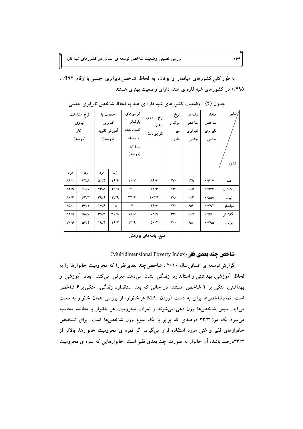به طور کلی کشورهای میانمار و بوتان، به لحاظ شاخص نابرابری جنسی با ارقام ۰/۴۹۲ ۰/۴۹۵ در کشورهای شبه قاره ی هند، دارای وضعیت بهتری هستند.

|                            | نرخ مشاركت<br>نيروى<br>کار<br>(درصد) | جمعیت با                          | كمترين<br>أموزش ثانويه<br>(درصد) | کر سی های<br>پارلمانى<br>كسب شده<br>به وسیله<br>ى زنان<br>(درصد) | نرخ باروری<br>بالغان<br>(نوجوانان) | نرخ<br>مرگ و<br>میر<br>مادر ان | رتبه در<br>شاخص<br>نابرابرى<br>جنسى | مقدار<br>شاخص<br>نابرابرى<br>جنسى | متغير<br>كشور |
|----------------------------|--------------------------------------|-----------------------------------|----------------------------------|------------------------------------------------------------------|------------------------------------|--------------------------------|-------------------------------------|-----------------------------------|---------------|
| مر د                       | زن                                   | مر د                              | ز ن                              |                                                                  |                                    |                                |                                     |                                   |               |
| $\lambda$ $\lambda$        | <b>٣٢/٨</b>                          | $\Delta \cdot / \tilde{Y}$        | 4616                             | $\mathcal{N}$                                                    | ۸۶/۳                               | ٢٣٠                            | ۱۲۹                                 | $\cdot$ /۶۱۷                      | هند           |
| $\Lambda$ ۴/۹              | $Y\setminus Y$                       | 4618                              | $YY/\Delta$                      | ۲۱                                                               | 41/5                               | ۲۶۰                            | ۱۱۵                                 | $\cdot$ /0 $vr$                   | ياكستان       |
| $\Lambda \cdot / \Upsilon$ | 54/7                                 | T9/9                              | V/A                              | $\mathbf{r}\mathbf{r}/\mathbf{r}$                                | 1.77                               | ٣٨٠                            | ۱۱۳                                 | $\cdot$ /001                      | نيال          |
| $\Lambda\Delta/\Lambda$    | 55/1                                 | V/F                               | ۱۸                               | ۴                                                                | 19/7                               | ٢۴٠                            | ۹۶                                  | ۰/۴۹۲                             | ميانمار       |
| $\lambda Y/\Delta$         | $\Delta\Lambda/V$                    | $\mathbf{r}\mathbf{A}/\mathbf{r}$ | $\mathbf{r} \cdot / \Lambda$     | $1\Lambda/F$                                                     | $V/\sqrt{9}$                       | ٣۴٠                            | 117                                 | $\cdot$ /00 $\cdot$               | بنگلادش       |
| $V \cdot / \hat{r}$        | $\Delta \Upsilon / \Upsilon$         | 19/F                              | 19/7                             | 14/9                                                             | 0.77                               | ۲۰۰                            | ۹۸                                  | ۰/۴۹۵                             | بوتان         |

جدول (۲) : وضعیت کشورهای شبه قاره ی هند به لحاظ شاخص نابرابری جنسی

منبع: يافتەهاي پژوهش

### شاخص چند بعدی فقر (Multidimensional Poverty Index)

گزارش توسعه ی انسانی سال ۲۰۱۰ ، شاخص چند بعدی فقررا که محرومیت خانوارها را به لحاظ آموزشی، بهداشتی و استاندارد زندگی نشان میدهد، معرفی می کند. ابعاد آموزشی و بهداشتی، متکی بر ۲ شاخص هستند؛ در حالی که بعد استاندارد زندگی، متکی بر ۶ شاخص است. تمام شاخصها برای به دست آوردن MPI هر خانوار، از بررسی همان خانوار به دست میآید. سپس شاخصها وزن دهی می شوند و نمرات محرومیت هر خانوار با مطالعه محاسبه می شود. یک مرز ۳۳/۳ درصدی که برابر با یک سوم وزن شاخصها است، برای تشخیص خانوارهای فقیر و غنی مورد استفاده قرار میگیرد. اگر نمره ی محرومیت خانوارها، بالاتر از ۳۳/۳درصد باشد، آن خانوار به صورت چند بعدی فقیر است. خانوارهایی که نمره ی محرومیت

164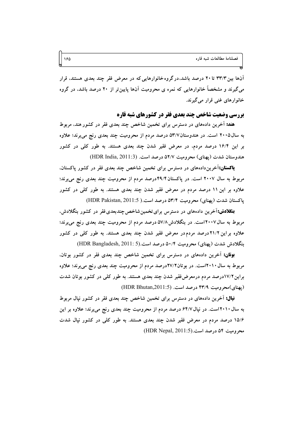آنها بین ۳۳/۳ تا ۲۰ درصد باشد،در گروه خانوارهایی که در معرض فقر چند بعدی هستند، قرار می گیرند و مشخصاً خانوارهایی که نمره ی محرومیت آنها پایین تر از ۲۰ درصد باشد، در گروه خانوارهاي غني قرار مي گيرند.

### **بررسی وضعیت شاخص چند بعدی فقر در کشورهای شبه قاره**

**هند:** آخرین دادههای در دسترس برای تخمین شاخص چند بعدی فقر در کشور هند، مربوط به سال۱۰۰۵ است. در هندوستان۵۳/۷ درصد مردم از محرومیت چند بعدی رنج میبرند؛ علاوه بر این ۱۶/۴ درصد مردم، در معرض فقیر شدن چند بعدی هستند. به طور کلی در کشور هندوستان شدت (يهناي) محروميت ٥٢/٧ درصد است. (HDR India, 2011:3)

**پاکستان:**آخرین دادههای در دسترس برای تخمین شاخص چند بعدی فقر در کشور پاکستان، مربوط به سال ۲۰۰۷ است. در پاکستان ۴۹/۴درصد مردم از محرومیت چند بعدی رنج میبرند؛ علاوه بر این ۱۱ درصد مردم در معرض فقیر شدن چند بعدی هستند. به طور کلی در کشور یاکستان شدت (یهنای) محرومیت ۵۳/۴ درصد است.( HDR Pakistan, 2011:5)

**بنگلادش:**آخرین دادههای در دسترس برای تخمین شاخص چندبعدی فقر در کشور بنگلادش، مربوط به سال۱۲۰۰۷است. در بنگلادش۸۷/۸ درصد مردم از محرومیت چند بعدی رنج می برند؛ علاوه براین ۲۱/۲درصد مردم در معرض فقیر شدن چند بعدی هستند. به طور کلی در کشور بنگلادش شدت (یهنای) محرومیت ۵۰/۴ درصد است.(HDR Bangladesh, 2011: 5)

**بوتان:** آخرین دادههای در دسترس برای تخمین شاخص چند بعدی فقر در کشور بوتان، مربوط به سال ۲۰۱۰است. در بوتان۲۷/۲درصد مردم از محرومیت چند بعدی رنج می برند؛ علاوه براین ۱۷/۲درصد مردم درمعرض فقیر شدن چند بعدی هستند. به طور کلی در کشور بوتان شدت (بهنای)محرومیت ۴۳/۹ درصد است. (HDR Bhutan,2011:5)

**نبال:** آخرین دادههای در دسترس برای تخمین شاخص چند بعدی فقر در کشور نیال مربوط به سال ۲۰۱۰است. در نیال ۶۴/۷ درصد مردم از محرومیت چند بعدی رنج می برند؛ علاوه بر این ۱۵/۶ درصد مردم در معرض فقیر شدن چند بعدی هستند. به طور کلّی در کشور نیال شدت محروميت ٥۴ درصد است.(HDR Nepal, 2011:5)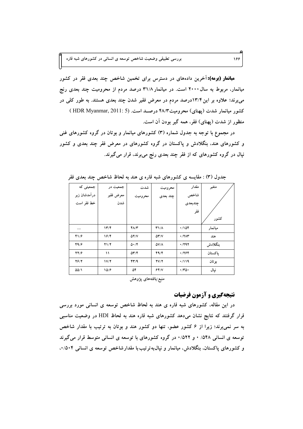**میانمار (برمه):** آخرین دادههای در دسترس برای تخمین شاخص چند بعدی فقر در کشور میانمار، مربوط به سال ۲۰۰۰ است. در میانمار ۳۱/۸ درصد مردم از محرومیت چند بعدی رنج می برند؛ علاوه بر این ۱۳/۴درصد مردم در معرض فقیر شدن چند بعدی هستند. به طور کلی در کشور میانمار شدت (پهنای) محرومیت ۴۸/۳ درصد است. (HDR Myanmar, 2011: 5) منظور از شدت (پهنای) فقر، همه گیر بودن آن است.

در مجموع با توجه به جدول شماره (۳) کشورهای میانمار و بوتان در گروه کشورهای غنی و کشورهای هند، بنگلادش و پاکستان در گروه کشورهای در معرض فقر چند بعدی و کشور نپال در گروه کشورهای که از فقر چند بعدی رنج میبرند، قرار میگیرند.

| جمعیتی که    | جمعیت در                  | شدت                                  | محروميت                        | مقدار                 | متغير   |
|--------------|---------------------------|--------------------------------------|--------------------------------|-----------------------|---------|
| درآمدشان زیر | معرض فقير                 | محروميت                              | چند بعدی                       | شاخص                  |         |
| خط فقر است   | شدن                       |                                      |                                | جندبعدى               |         |
|              |                           |                                      |                                | فقر                   |         |
|              |                           |                                      |                                |                       | كشور    |
|              | $\mathcal{N}/\mathcal{F}$ | $Y\Lambda/Y$                         | $T1/\Lambda$                   | 4/108                 | ميانمار |
| 41/5         | ۱۶/۴                      | $\Delta Y/V$                         | $\Delta \mathbf{Y}/\mathbf{V}$ | $\cdot$ /٢ $\wedge$ ۳ | هند     |
| 49/          | Y1/Y                      | $\Delta \cdot$                       | $\Delta V/\Lambda$             | $\cdot$ /۲۹۲          | بنگلادش |
| YY/F         | ۱۱                        | $\Delta \Upsilon / \Upsilon$         | 44/                            | .7799                 | ياكستان |
| $Y$ ۶/۲      | 1V/Y                      | $\mathbf{f} \mathbf{y} / \mathbf{q}$ | YV/Y                           | $\cdot$ /119          | بوتان   |
| 00/1         | 10/9                      | ۵۴                                   | 54/1                           | $\cdot$ /۳۵ $\cdot$   | نيال    |
|              |                           | .                                    |                                |                       |         |

جدول (۳) : مقایسه ی کشورهای شبه قاره ی هند به لحاظ شاخص چند بعدی فقر

منبع:يافتههاى پژوهش

# نتیجهگیری و آزمون فرضیات

در این مقاله، کشورهای شبه قاره ی هند به لحاظ شاخص توسعه ی انسانی مورد بررسی قرار گرفتند که نتایج نشان میدهد کشورهای شبه قاره هند به لحاظ HDI در وضعیت مناسبی به سر نمی برند؛ زیرا از ۶ کشور عضو، تنها دو کشور هند و بوتان به ترتیب با مقدار شاخص توسعه ی انسانی ۵۴۸/ ۰ و ۰/۵۲۲ در گروه کشورهای با توسعه ی انسانی متوسط قرار میگیرند و کشورهای پاکستان، بنگلادش، میانمار و نیال،به ترتیب با مقدارشاخص توسعه ی انسانی ۰/۵۰۴.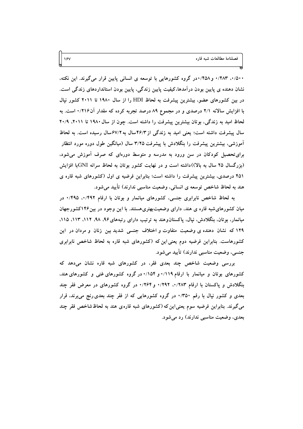۰/۵۰۰ ۱/۴۸۳ و ۰/۴۵۸در گروه کشورهایی با توسعه ی انسانی پایین قرار میگیرند. این نکته، نشان دهنده ی پایین بودن درآمدها،کیفیت پایین زندگی، پایین بودن استانداردهای زندگی است. در بین کشورهای عضو، بیشترین پیشرفت به لحاظ HDI را از سال ۱۹۸۰ تا ۲۰۱۱ کشور نیال با افزایش سالانه ۲/۱ درصدی و در مجموع ۸۹ درصد تجربه کرده که مقدار آن۰/۲۱۶ است. به لحاظ امید به زندگی، بوتان بیشترین پیشرفت را داشته است. چون از سال ۱۹۸۰ تا ۲۰/۱، ۲۰/۹ سال پیشرفت داشته است؛ یعنی امید به زندگی از ۴۶/۳سال به ۶۷/۲سال رسیده است. به لحاظ آموزشی، بیشترین پیشرفت را بنگلادش با پیشرفت ۳/۲۵ سال (میانگین طول دوره مورد انتظار برای تحصیل کودکان در سن ورود به مدرسه و متوسط دورهای که صرف آموزش می شود، (بزرگسال ۲۵ سال به بالا))داشته است و در نهایت کشور بوتان به لحاظ سرانه GNIبا افزایش ۴۵۱ درصدی، بیشترین پیشرفت را داشته است؛ بنابراین فرضیه ی اول (کشورهای شبه قاره ی هند به لحاظ شاخص توسعه ی انسانی، وضعیت مناسبی ندارند) تأیید می شود.

به لحاظ شاخص نابرابری جنسی، کشورهای میانمار و بوتان با ارقام ۰/۴۹۲ در میان کشورهای شبه قاره ی هند، دارای وضعیتبهتریهستند. با این وجود در بین۱۴۶کشورجهان میانمار، بوتان، بنگلادش، نیال، پاکستانوهند به ترتیب دارای رتبههای ۹۶، ۹۸، ۱۱۲، ۱۱۲، ۱۱۵، ۱۲۹ که نشان دهنده ی وضعیت متفاوت و اختلاف جنسی شدید بین زنان و مردان در این کشورهاست. بنابراین فرضیه دوم یعنی این که (کشورهای شبه قاره به لحاظ شاخص نابرابری جنسی، وضعیت مناسبی ندارند) تأیید میشود.

بررسی وضعیت شاخص چند بعدی فقر، در کشورهای شبه قاره نشان میدهد که کشورهای بوتان و میانمار با ارقام ۰/۱۱۹ و ۰/۱۵۴ در گروه کشورهای غنی و کشورهای هند، بنگلادش و پاکستان با ارقام ۰/۲۸۳ ، ۱۲۹۲ و ۱/۲۶۴ در گروه کشورهای در معرض فقر چند بعدی و کشور نیال با رقم ۰/۳۵۰ در گروه کشورهایی که از فقر چند بعدی رنج می برند، قرار می گیرند. بنابراین فرضیه سوم یعنی این که (کشورهای شبه قاره ی هند به لحاظ شاخص فقر چند بعدی، وضعیت مناسبی ندارند) رد می شود.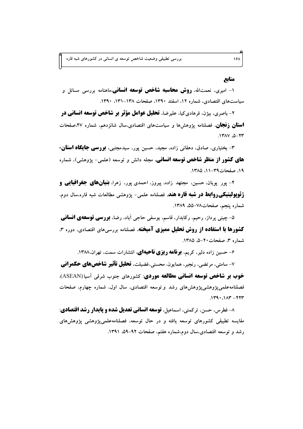#### منابع

۱- امیری، نعمتالله، **روش محاسبه شاخص توسعه انسانی**،ماهنامه بررسی مسائل و سیاستهای اقتصادی، شماره ۱۲، اسفند ۱۳۹۰، صفحات ۱۳۸–۱۳۱، ۱۳۹۰.

۲- باصری، بیژن، فرهادیکیا، علیرضا، **تحلیل عوامل مؤثر بر شاخص توسعه انسانی در استان زنجان**، فصلنامه پژوهشها و سیاستهای اقتصادی.سال شانزدهم، شماره ۴۷.صفحات  $N^*$ -0.  $V^*$ 

۳- بختیاری، صادق، دهقانی زاده، مجید، حسین پور، سیدمجتبی، **بورسی جایگاه استان**-**های کشور از منظر شاخص توسعه انسانی**، مجله دانش و توسعه (علمی- پژوهشی)، شماره ١٩، صفحات٣٩-١١، ١٣٨٥.

۴- پور پویان، حسین، مجتهد زاده، پیروز، احمدی پور، زهرا، **بنی<b>ان&ای جغرافیایی و ژئوپولیتیکیروابط در شبه قاره هند**، فصلنامه علمی- پژوهشی مطالعات شبه قاره،سال دوم، شماره ينجم، صفحات٧٨–٥۵، ١٣٨٩.

۵– چینی پرداز، رحیم، رکابدار، قاسم، یوسفی حاجی آباد، رضا، **بررسی توسعهی انسانی کشورها با استفاده از روش تحلیل ممیزی آمیخته**، فصلنامه بررسی های اقتصادی، دوره ۳، شماره ۳، صفحات ۲۰–۵، ۱۳۸۵.

۶- حسین زاده دلیر، کریم، **بونامه ریزی ناحیهای**، انتشارات سمت، تهران،۱۳۸۸.

۷- سامتی، مرتضی، رنجبر، همایون، محسنی،فضیلت، **تحلیل تأثیر شاخصهای حکمرانی خوب بر شاخص توسعه انسانی مطالعه موردی**: کشورهای جنوب شرقی آسیا (ASEAN). فصلنامهعلمی یژوهشی یژوهش های رشد و توسعه اقتصادی، سال اول، شماره چهارم، صفحات  $.149.144$ 

٨- فطرس، حسن، تركمني، اسماعيل، **توسعه انساني تعديل شده و يايدار رشد اقتصادي**: مقایسه تطبیقی کشورهای توسعه یافته و در حال توسعه، فصلنامهعلمی،یژوهشی یژوهش های رشد و توسعه اقتصادی،سال دوم،شماره هفتم، صفحات ۹۲–۵۹، ۱۳۹۱.

181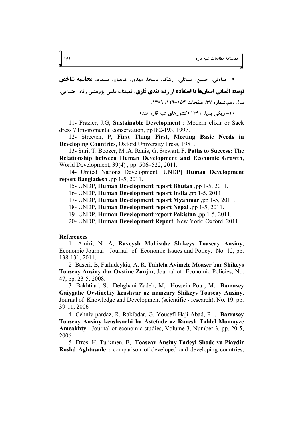۹- صادقی، حسین، مسائلی، ارشک، باسخا، مهدی، کوهیان، مسعود، **محاسبه شاخص** 

**توسعه انسانی استانها با استفاده از رتبه بندی فازی**، فصلنامه علمی پژوهشی رفاه اجتماعی،

سال دهم،شماره ۳۷، صفحات ۱۵۳–۱۲۸۹. ۱۳۸۹.

۱۰- ویکی پدیا، ۱۳۹۱ (کشورهای شبه قاره هند)

11- Frazier, J.G. Sustainable Development : Modern elixir or Sack dress? Enviromental conservation, pp182-193, 1997.

12- Streeten, P, First Thing First, Meeting Basic Needs in **Developing Countries.** Oxford University Press, 1981.

13- Suri, T. Boozer, M.A. Ranis, G. Stewart, F. Paths to Success: The Relationship between Human Development and Economic Growth, World Development, 39(4), pp. 506–522, 2011.

14- United Nations Development [UNDP] Human Development report Bangladesh ,pp 1-5, 2011.

15- UNDP, Human Development report Bhutan ,pp 1-5, 2011.

16- UNDP, Human Development report India .pp 1-5, 2011.

17- UNDP, Human Development report Myanmar, pp 1-5, 2011.

18- UNDP, Human Development report Nepal, pp 1-5, 2011.

19- UNDP, Human Development report Pakistan ,pp 1-5, 2011.

20- UNDP, Human Development Report. New York: Oxford, 2011.

#### **References**

1- Amiri, N. A., Raveysh Mohisabe Shikeys Toaseay Ansiny, Economic Journal - Journal of Economic Issues and Policy, No. 12, pp. 138-131, 2011.

2- Baseri, B, Farhideykia, A. R, Tahlela Avimele Moaser bar Shikeys Toaseay Ansiny dar Ovstine Zanjin, Journal of Economic Policies, No. 47, pp. 23-5, 2008.

3- Bakhtiari, S, Dehghani Zadeh, M, Hossein Pour, M, Barrasey Gaiygahe Ovstinehiy keashvar az manzary Shikeys Toaseay Ansiny, Journal of Knowledge and Development (scientific - research), No. 19, pp. 39-11, 2006

4- Cehniy pardaz, R, Rakibdar, G, Yousefi Haji Abad, R., Barrasey Toaseav Ansiny keashvarhi ba Astefade az Ravesh Tahlel Momavze **Ameakhty**, Journal of economic studies, Volume 3, Number 3, pp. 20-5, 2006.

5- Ftros, H, Turkmen, E, Toaseay Ansiny Tadeyl Shode va Piaydir Roshd Aghtasade: comparison of developed and developing countries,